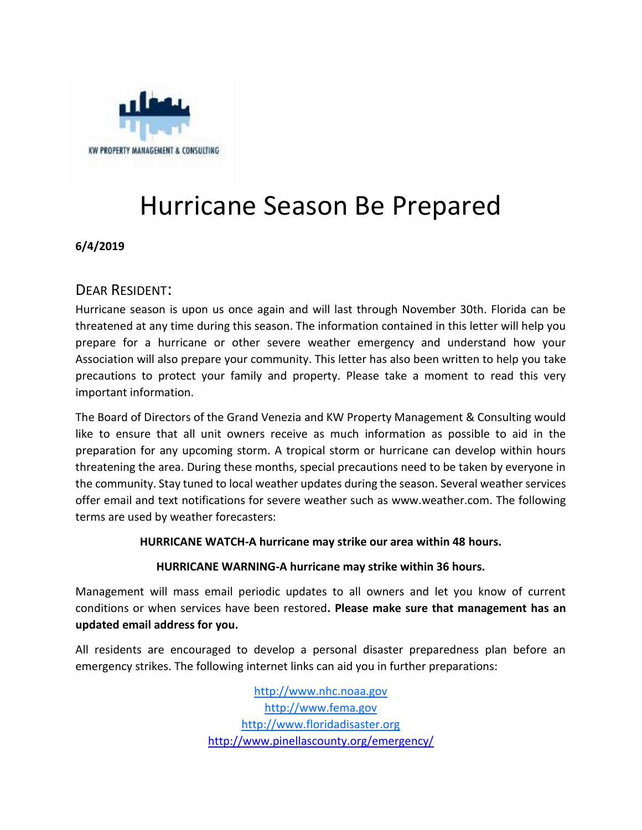

# Hurricane Season Be Prepared

**6/4/2019**

# DEAR RESIDENT:

Hurricane season is upon us once again and will last through November 30th. Florida can be threatened at any time during this season. The information contained in this letter will help you prepare for a hurricane or other severe weather emergency and understand how your Association will also prepare your community. This letter has also been written to help you take precautions to protect your family and property. Please take a moment to read this very important information.

The Board of Directors of the Grand Venezia and KW Property Management & Consulting would like to ensure that all unit owners receive as much information as possible to aid in the preparation for any upcoming storm. A tropical storm or hurricane can develop within hours threatening the area. During these months, special precautions need to be taken by everyone in the community. Stay tuned to local weather updates during the season. Several weather services offer email and text notifications for severe weather such as www.weather.com. The following terms are used by weather forecasters:

# **HURRICANE WATCH-A hurricane may strike our area within 48 hours.**

# **HURRICANE WARNING-A hurricane may strike within 36 hours.**

Management will mass email periodic updates to all owners and let you know of current conditions or when services have been restored**. Please make sure that management has an updated email address for you.**

All residents are encouraged to develop a personal disaster preparedness plan before an emergency strikes. The following internet links can aid you in further preparations:

> [http://www.nhc.noaa.gov](http://www.nhc.noaa.gov/) [http://www.fema.gov](http://www.fema.gov/) [http://www.floridadisaster.org](http://www.floridadisaster.org/) <http://www.pinellascounty.org/emergency/>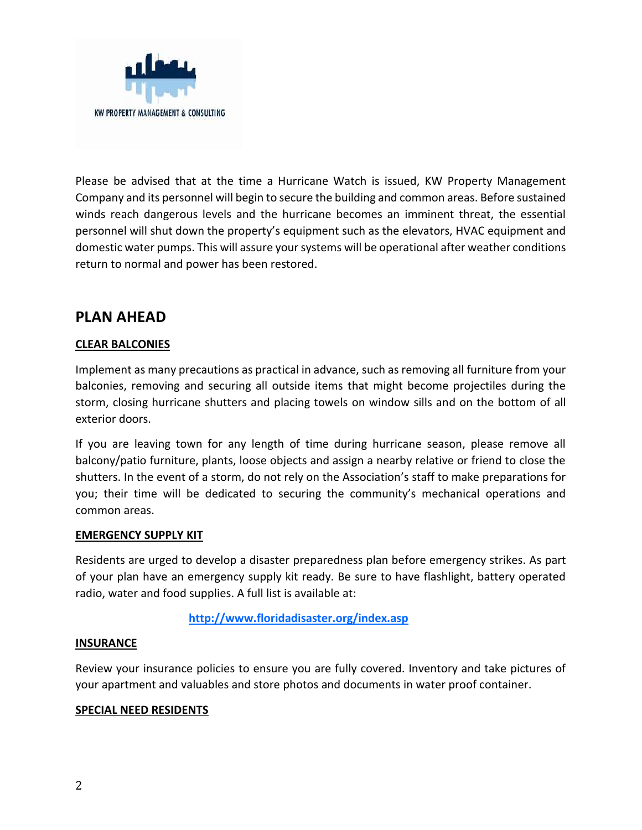

Please be advised that at the time a Hurricane Watch is issued, KW Property Management Company and its personnel will begin to secure the building and common areas. Before sustained winds reach dangerous levels and the hurricane becomes an imminent threat, the essential personnel will shut down the property's equipment such as the elevators, HVAC equipment and domestic water pumps. This will assure your systems will be operational after weather conditions return to normal and power has been restored.

# **PLAN AHEAD**

# **CLEAR BALCONIES**

Implement as many precautions as practical in advance, such as removing all furniture from your balconies, removing and securing all outside items that might become projectiles during the storm, closing hurricane shutters and placing towels on window sills and on the bottom of all exterior doors.

If you are leaving town for any length of time during hurricane season, please remove all balcony/patio furniture, plants, loose objects and assign a nearby relative or friend to close the shutters. In the event of a storm, do not rely on the Association's staff to make preparations for you; their time will be dedicated to securing the community's mechanical operations and common areas.

#### **EMERGENCY SUPPLY KIT**

Residents are urged to develop a disaster preparedness plan before emergency strikes. As part of your plan have an emergency supply kit ready. Be sure to have flashlight, battery operated radio, water and food supplies. A full list is available at:

**<http://www.floridadisaster.org/index.asp>**

#### **INSURANCE**

Review your insurance policies to ensure you are fully covered. Inventory and take pictures of your apartment and valuables and store photos and documents in water proof container.

#### **SPECIAL NEED RESIDENTS**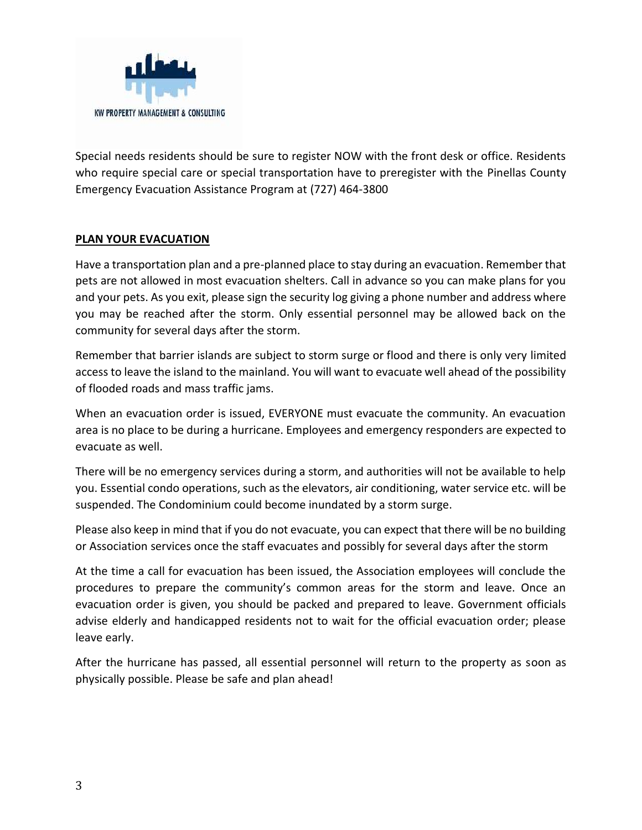

Special needs residents should be sure to register NOW with the front desk or office. Residents who require special care or special transportation have to preregister with the Pinellas County Emergency Evacuation Assistance Program at (727) 464-3800

# **PLAN YOUR EVACUATION**

Have a transportation plan and a pre-planned place to stay during an evacuation. Remember that pets are not allowed in most evacuation shelters. Call in advance so you can make plans for you and your pets. As you exit, please sign the security log giving a phone number and address where you may be reached after the storm. Only essential personnel may be allowed back on the community for several days after the storm.

Remember that barrier islands are subject to storm surge or flood and there is only very limited access to leave the island to the mainland. You will want to evacuate well ahead of the possibility of flooded roads and mass traffic jams.

When an evacuation order is issued, EVERYONE must evacuate the community. An evacuation area is no place to be during a hurricane. Employees and emergency responders are expected to evacuate as well.

There will be no emergency services during a storm, and authorities will not be available to help you. Essential condo operations, such as the elevators, air conditioning, water service etc. will be suspended. The Condominium could become inundated by a storm surge.

Please also keep in mind that if you do not evacuate, you can expect that there will be no building or Association services once the staff evacuates and possibly for several days after the storm

At the time a call for evacuation has been issued, the Association employees will conclude the procedures to prepare the community's common areas for the storm and leave. Once an evacuation order is given, you should be packed and prepared to leave. Government officials advise elderly and handicapped residents not to wait for the official evacuation order; please leave early.

After the hurricane has passed, all essential personnel will return to the property as soon as physically possible. Please be safe and plan ahead!